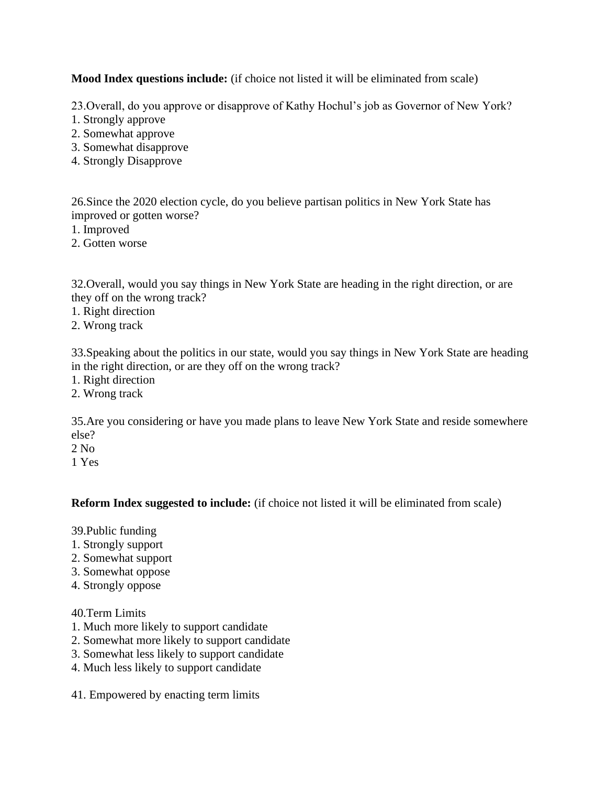**Mood Index questions include:** (if choice not listed it will be eliminated from scale)

23.Overall, do you approve or disapprove of Kathy Hochul's job as Governor of New York?

- 1. Strongly approve
- 2. Somewhat approve
- 3. Somewhat disapprove
- 4. Strongly Disapprove

26.Since the 2020 election cycle, do you believe partisan politics in New York State has improved or gotten worse?

- 1. Improved
- 2. Gotten worse

32.Overall, would you say things in New York State are heading in the right direction, or are they off on the wrong track?

- 1. Right direction
- 2. Wrong track

33.Speaking about the politics in our state, would you say things in New York State are heading in the right direction, or are they off on the wrong track?

- 1. Right direction
- 2. Wrong track

35.Are you considering or have you made plans to leave New York State and reside somewhere else?

- 2 No
- 1 Yes

**Reform Index suggested to include:** (if choice not listed it will be eliminated from scale)

39.Public funding

- 1. Strongly support
- 2. Somewhat support
- 3. Somewhat oppose
- 4. Strongly oppose

## 40.Term Limits

- 1. Much more likely to support candidate
- 2. Somewhat more likely to support candidate
- 3. Somewhat less likely to support candidate
- 4. Much less likely to support candidate
- 41. Empowered by enacting term limits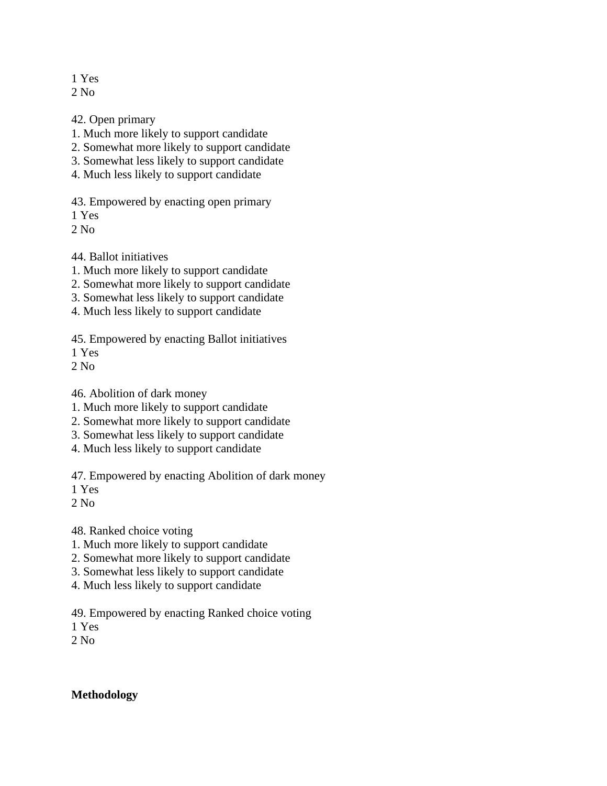1 Yes

 $2$  No.

42. Open primary

- 1. Much more likely to support candidate
- 2. Somewhat more likely to support candidate
- 3. Somewhat less likely to support candidate
- 4. Much less likely to support candidate

43. Empowered by enacting open primary

1 Yes

 $2$  No.

44. Ballot initiatives

1. Much more likely to support candidate

2. Somewhat more likely to support candidate

- 3. Somewhat less likely to support candidate
- 4. Much less likely to support candidate

45. Empowered by enacting Ballot initiatives

1 Yes

2 No

46. Abolition of dark money

- 1. Much more likely to support candidate
- 2. Somewhat more likely to support candidate
- 3. Somewhat less likely to support candidate
- 4. Much less likely to support candidate

47. Empowered by enacting Abolition of dark money

1 Yes

2 No

48. Ranked choice voting

- 1. Much more likely to support candidate
- 2. Somewhat more likely to support candidate
- 3. Somewhat less likely to support candidate
- 4. Much less likely to support candidate

49. Empowered by enacting Ranked choice voting

1 Yes

 $2$  No.

## **Methodology**